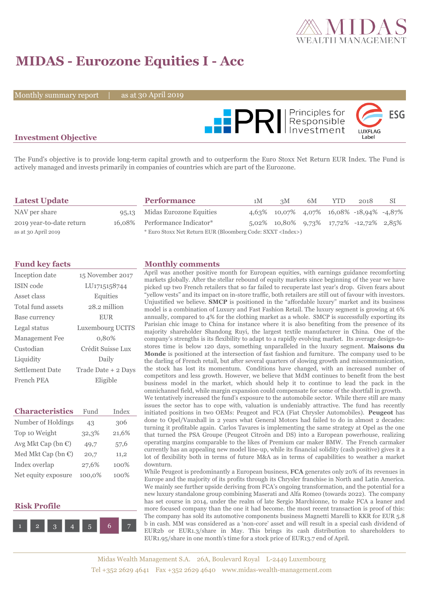

# **MIDAS - Eurozone Equities I - Acc**

Monthly summary report

30 April 2019



## **Investment Objective**

The Fund's objective is to provide long-term capital growth and to outperform the Euro Stoxx Net Return EUR Index. The Fund is actively managed and invests primarily in companies of countries which are part of the Eurozone.

| <b>Latest Update</b>     | <b>Performance</b>                                                 | 1M | 3M                                       | 6M | <b>YTD</b> | 2018 | SI |
|--------------------------|--------------------------------------------------------------------|----|------------------------------------------|----|------------|------|----|
| NAV per share            | 95,13 Midas Eurozone Equities                                      |    | 4,63% 10,07% 4,07% 16,08% -18,94% -4,87% |    |            |      |    |
| 2019 year-to-date return | 16,08% Performance Indicator*                                      |    | 5,02% 10,80% 9,73% 17,72% -12,72% 2,85%  |    |            |      |    |
| as at 30 April 2019      | * Euro Stoxx Net Return EUR (Bloomberg Code: SXXT <index>)</index> |    |                                          |    |            |      |    |

| Inception date         | 15 November 2017    |
|------------------------|---------------------|
| ISIN code              | LU1715158744        |
| Asset class            | Equities            |
| Total fund assets      | 28.2 million        |
| Base currency          | <b>EUR</b>          |
| Legal status           | Luxembourg UCITS    |
| Management Fee         | 0,80%               |
| Custodian              | Crédit Suisse Lux   |
| Liquidity              | Daily               |
| <b>Settlement Date</b> | Trade Date + 2 Days |
| French PEA             | Eligible            |

| <b>Characteristics</b>         | Fund   | Index |
|--------------------------------|--------|-------|
| Number of Holdings             | 43     | 306   |
| Top 10 Weight                  | 32,3%  | 21,6% |
| Avg Mkt Cap (bn €)             | 49,7   | 57,6  |
| Med Mkt Cap (bn $\mathbb{C}$ ) | 20,7   | 11,2  |
| Index overlap                  | 27,6%  | 100%  |
| Net equity exposure            | 100,0% | 100%  |

### **Risk Profile**



#### **Fund key facts Monthly comments**

April was another positive month for European equities, with earnings guidance recomforting markets globally. After the stellar rebound of equity markets since beginning of the year we have picked up two French retailers that so far failed to recuperate last year's drop. Given fears about "yellow vests" and its impact on in-store traffic, both retailers are still out of favour with investors. Unjustified we believe. **SMCP** is positioned in the "affordable luxury" market and its business model is a combination of Luxury and Fast Fashion Retail. The luxury segment is growing at 6% annually, compared to 4% for the clothing market as a whole. SMCP is successfully exporting its Parisian chic image to China for instance where it is also benefiting from the presence of its majority shareholder Shandong Ruyi, the largest textile manufacturer in China. One of the company's strengths is its flexibility to adapt to a rapidly evolving market. Its average design-tostores time is below 120 days, something unparalleled in the luxury segment. **Maisons du Monde** is positioned at the intersection of fast fashion and furniture. The company used to be the darling of French retail, but after several quarters of slowing growth and miscommunication, the stock has lost its momentum. Conditions have changed, with an increased number of competitors and less growth. However, we believe that MdM continues to benefit from the best business model in the market, which should help it to continue to lead the pack in the omnichannel field, while margin expansion could compensate for some of the shortfall in growth. We tentatively increased the fund's exposure to the automobile sector. While there still are many issues the sector has to cope with, valuation is undeniably attractive. The fund has recently initiated positions in two OEMs: Peugeot and FCA (Fiat Chrysler Automobiles). **Peugeot** has done to Opel/Vauxhall in 2 years what General Motors had failed to do in almost 2 decades: turning it profitable again. Carlos Tavares is implementing the same strategy at Opel as the one that turned the PSA Groupe (Peugeot Citroën and DS) into a European powerhouse, realizing operating margins comparable to the likes of Premium car maker BMW. The French carmaker currently has an appealing new model line-up, while its financial solidity (cash positive) gives it a lot of flexibility both in terms of future M&A as in terms of capabilities to weather a market downturn.

While Peugeot is predominantly a European business, **FCA** generates only 20% of its revenues in Europe and the majority of its profits through its Chrysler franchise in North and Latin America. We mainly see further upside deriving from FCA's ongoing transformation, and the potential for a new luxury standalone group combining Maserati and Alfa Romeo (towards 2022). The company has set course in 2014, under the realm of late Sergio Marchionne, to make FCA a leaner and more focused company than the one it had become. the most recent transaction is proof of this: The company has sold its automotive components business Magnetti Marelli to KKR for EUR 5.8 b in cash. MM was considered as a 'non-core' asset and will result in a special cash dividend of EUR2b or EUR1.3/share in May. This brings its cash distribution to shareholders to EUR1.95/share in one month's time for a stock price of EUR13.7 end of April.